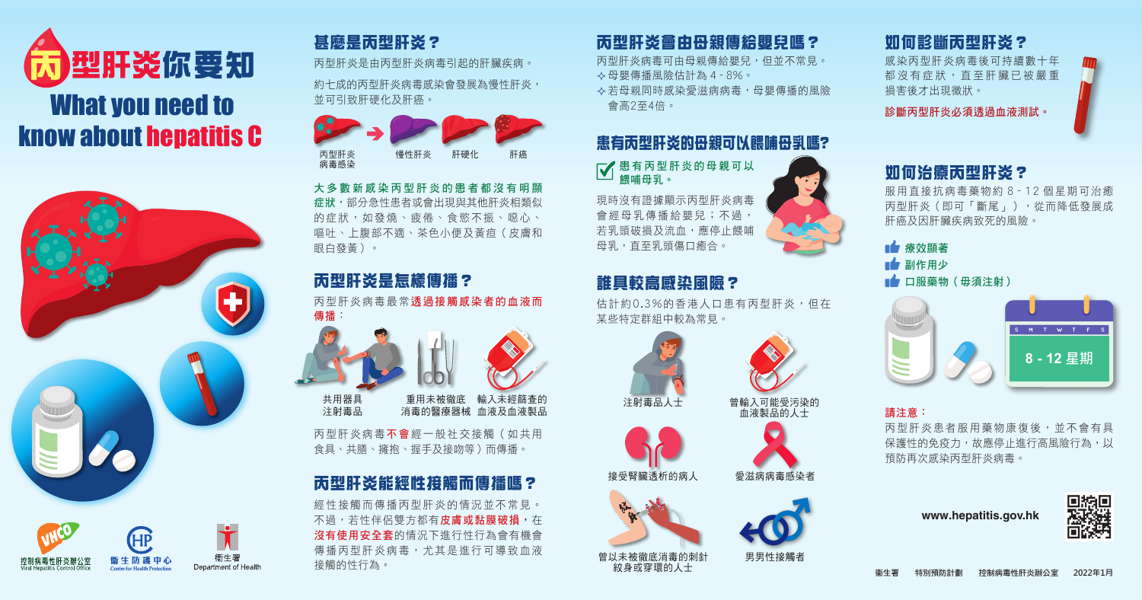# 患有丙型肝炎的母親可以餵哺母乳嗎?

图有丙型肝炎的母親可以 餵哺母乳。

現時沒有證據顯示丙型肝炎病毒 會經母乳傳播給嬰兒;不過, 若乳頭破損及流血,應停止餵哺 母乳,直至乳頭傷口癒合。



約十成的丙型肝炎病毒感染會發展為慢性肝炎, 並可引致肝硬化及肝癌。

# 甚麼是丙型肝炎?

丙型肝炎是由丙型肝炎病毒引起的肝臟疾病。

#### 如何診斷丙型肝炎?

感染丙型肝炎病毒後可持續數十年 都沒有症狀,直至肝臟已被嚴重 損害後才出現徵狀。

診斷丙型肝炎必須透過血液測試。



#### 如何治療丙型肝炎?

丙型肝炎病毒最常透過接觸感染者的血液而 傳播





服用直接抗病毒藥物約 8 - 12 個星期可治癒 丙型肝炎(即可「斷尾」),從而降低發展成 肝癌及因肝臟疾病致死的風險。

### 誰具較高感染風險?

丙型肝炎病毒不會經一般社交接觸(如共用 食具、共膳、擁抱、握手及接吻等)而傳播。

估計約0.3%的香港人口患有丙型肝炎,但在 某些特定群組中較為常見。

消毒的醫療器械 血液及血液製品 重用未被徹底

# 丙型肝炎會由母親傳給嬰兒嗎?

丙型肝炎病毒可由母親傳給嬰兒,但並不常見。 母嬰傳播風險估計為 4 - 8%。 若母親同時感染愛滋病病毒,母嬰傳播的風險 會高2至4倍。

> ■■ 療效顯著 副作用少

■■ 口服藥物(毋須注射)

# 丙型肝炎能經性接觸而傳播嗎?







經性接觸而傳播丙型肝炎的情況並不常見。 不過,若性伴侶雙方都有**皮膚或黏膜破損,**在 沒有使用安全套的情況下進行性行為會有機會 傳播丙型肝炎病毒,尤其是進行可導致血液 接觸的性行為。

# 丙型肝炎是怎樣傳播?





血液製品的人士





接受腎臟透析的病人 愛滋病病毒感染者



曾以未被徹底消毒的刺針 男男性接觸者 紋身或穿環的人士





共用器具 注射毒品

大多數新感染丙型肝炎的患者都沒有明顯 症狀,部分急性患者或會出現與其他肝炎相類似 的症狀,如發燒、疲倦、食慾不振、噁心、 嘔吐、上腹部不適、茶色小便及黃疸(皮膚和 眼白發黃)。



請注意:

丙型肝炎患者服用藥物康復後,並不會有具 保護性的免疫力,故應停止進行高風險行為,以 預防再次感染丙型肝炎病毒。

衞生署 特別預防計劃 控制病毒性肝炎辦公室 **2022年1月**

**www.hepatitis.gov.hk**